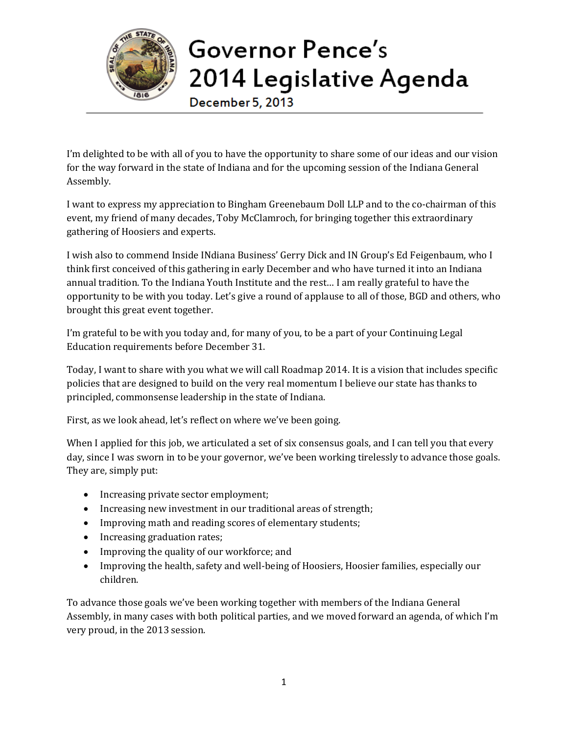

## Governor Pence's 2014 Legislative Agenda

December 5, 2013

I'm delighted to be with all of you to have the opportunity to share some of our ideas and our vision for the way forward in the state of Indiana and for the upcoming session of the Indiana General Assembly.

I want to express my appreciation to Bingham Greenebaum Doll LLP and to the co-chairman of this event, my friend of many decades, Toby McClamroch, for bringing together this extraordinary gathering of Hoosiers and experts.

I wish also to commend Inside INdiana Business' Gerry Dick and IN Group's Ed Feigenbaum, who I think first conceived of this gathering in early December and who have turned it into an Indiana annual tradition. To the Indiana Youth Institute and the rest… I am really grateful to have the opportunity to be with you today. Let's give a round of applause to all of those, BGD and others, who brought this great event together.

I'm grateful to be with you today and, for many of you, to be a part of your Continuing Legal Education requirements before December 31.

Today, I want to share with you what we will call Roadmap 2014. It is a vision that includes specific policies that are designed to build on the very real momentum I believe our state has thanks to principled, commonsense leadership in the state of Indiana.

First, as we look ahead, let's reflect on where we've been going.

When I applied for this job, we articulated a set of six consensus goals, and I can tell you that every day, since I was sworn in to be your governor, we've been working tirelessly to advance those goals. They are, simply put:

- Increasing private sector employment;
- Increasing new investment in our traditional areas of strength;
- Improving math and reading scores of elementary students;
- Increasing graduation rates;
- Improving the quality of our workforce; and
- Improving the health, safety and well-being of Hoosiers, Hoosier families, especially our children.

To advance those goals we've been working together with members of the Indiana General Assembly, in many cases with both political parties, and we moved forward an agenda, of which I'm very proud, in the 2013 session.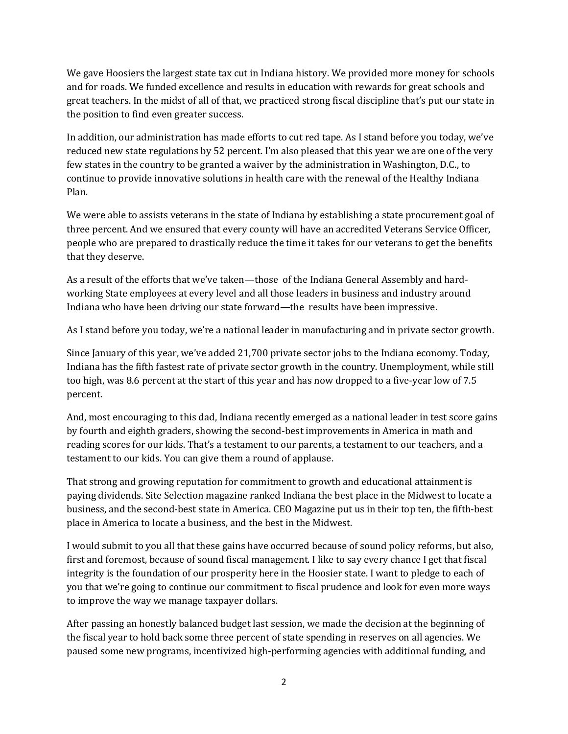We gave Hoosiers the largest state tax cut in Indiana history. We provided more money for schools and for roads. We funded excellence and results in education with rewards for great schools and great teachers. In the midst of all of that, we practiced strong fiscal discipline that's put our state in the position to find even greater success.

In addition, our administration has made efforts to cut red tape. As I stand before you today, we've reduced new state regulations by 52 percent. I'm also pleased that this year we are one of the very few states in the country to be granted a waiver by the administration in Washington, D.C., to continue to provide innovative solutions in health care with the renewal of the Healthy Indiana Plan.

We were able to assists veterans in the state of Indiana by establishing a state procurement goal of three percent. And we ensured that every county will have an accredited Veterans Service Officer, people who are prepared to drastically reduce the time it takes for our veterans to get the benefits that they deserve.

As a result of the efforts that we've taken—those of the Indiana General Assembly and hardworking State employees at every level and all those leaders in business and industry around Indiana who have been driving our state forward—the results have been impressive.

As I stand before you today, we're a national leader in manufacturing and in private sector growth.

Since January of this year, we've added 21,700 private sector jobs to the Indiana economy. Today, Indiana has the fifth fastest rate of private sector growth in the country. Unemployment, while still too high, was 8.6 percent at the start of this year and has now dropped to a five-year low of 7.5 percent.

And, most encouraging to this dad, Indiana recently emerged as a national leader in test score gains by fourth and eighth graders, showing the second-best improvements in America in math and reading scores for our kids. That's a testament to our parents, a testament to our teachers, and a testament to our kids. You can give them a round of applause.

That strong and growing reputation for commitment to growth and educational attainment is paying dividends. Site Selection magazine ranked Indiana the best place in the Midwest to locate a business, and the second-best state in America. CEO Magazine put us in their top ten, the fifth-best place in America to locate a business, and the best in the Midwest.

I would submit to you all that these gains have occurred because of sound policy reforms, but also, first and foremost, because of sound fiscal management. I like to say every chance I get that fiscal integrity is the foundation of our prosperity here in the Hoosier state. I want to pledge to each of you that we're going to continue our commitment to fiscal prudence and look for even more ways to improve the way we manage taxpayer dollars.

After passing an honestly balanced budget last session, we made the decision at the beginning of the fiscal year to hold back some three percent of state spending in reserves on all agencies. We paused some new programs, incentivized high-performing agencies with additional funding, and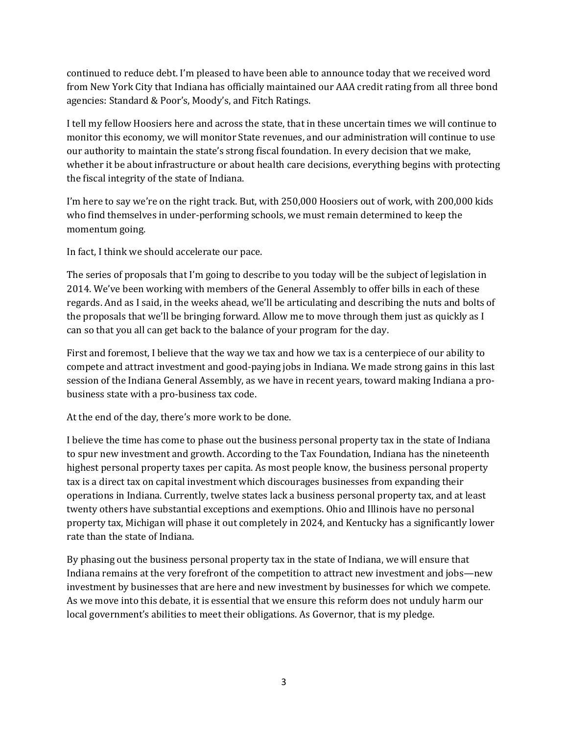continued to reduce debt. I'm pleased to have been able to announce today that we received word from New York City that Indiana has officially maintained our AAA credit rating from all three bond agencies: Standard & Poor's, Moody's, and Fitch Ratings.

I tell my fellow Hoosiers here and across the state, that in these uncertain times we will continue to monitor this economy, we will monitor State revenues, and our administration will continue to use our authority to maintain the state's strong fiscal foundation. In every decision that we make, whether it be about infrastructure or about health care decisions, everything begins with protecting the fiscal integrity of the state of Indiana.

I'm here to say we're on the right track. But, with 250,000 Hoosiers out of work, with 200,000 kids who find themselves in under-performing schools, we must remain determined to keep the momentum going.

In fact, I think we should accelerate our pace.

The series of proposals that I'm going to describe to you today will be the subject of legislation in 2014. We've been working with members of the General Assembly to offer bills in each of these regards. And as I said, in the weeks ahead, we'll be articulating and describing the nuts and bolts of the proposals that we'll be bringing forward. Allow me to move through them just as quickly as I can so that you all can get back to the balance of your program for the day.

First and foremost, I believe that the way we tax and how we tax is a centerpiece of our ability to compete and attract investment and good-paying jobs in Indiana. We made strong gains in this last session of the Indiana General Assembly, as we have in recent years, toward making Indiana a probusiness state with a pro-business tax code.

At the end of the day, there's more work to be done.

I believe the time has come to phase out the business personal property tax in the state of Indiana to spur new investment and growth. According to the Tax Foundation, Indiana has the nineteenth highest personal property taxes per capita. As most people know, the business personal property tax is a direct tax on capital investment which discourages businesses from expanding their operations in Indiana. Currently, twelve states lack a business personal property tax, and at least twenty others have substantial exceptions and exemptions. Ohio and Illinois have no personal property tax, Michigan will phase it out completely in 2024, and Kentucky has a significantly lower rate than the state of Indiana.

By phasing out the business personal property tax in the state of Indiana, we will ensure that Indiana remains at the very forefront of the competition to attract new investment and jobs—new investment by businesses that are here and new investment by businesses for which we compete. As we move into this debate, it is essential that we ensure this reform does not unduly harm our local government's abilities to meet their obligations. As Governor, that is my pledge.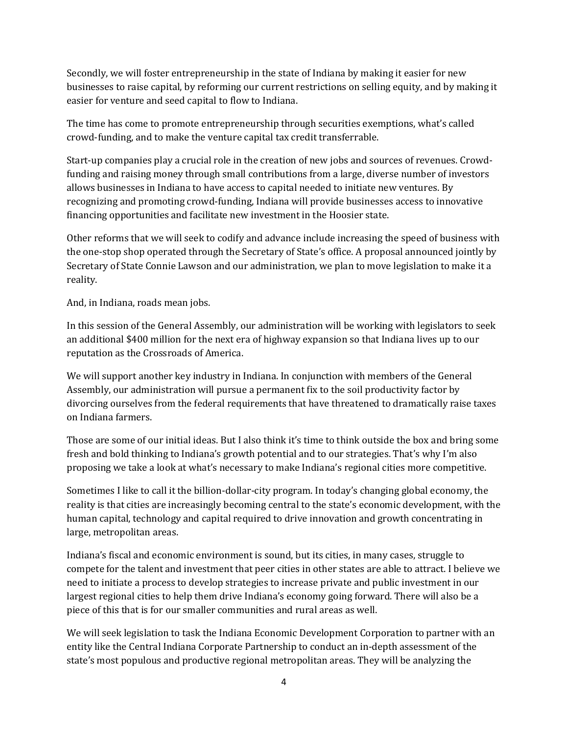Secondly, we will foster entrepreneurship in the state of Indiana by making it easier for new businesses to raise capital, by reforming our current restrictions on selling equity, and by making it easier for venture and seed capital to flow to Indiana.

The time has come to promote entrepreneurship through securities exemptions, what's called crowd-funding, and to make the venture capital tax credit transferrable.

Start-up companies play a crucial role in the creation of new jobs and sources of revenues. Crowdfunding and raising money through small contributions from a large, diverse number of investors allows businesses in Indiana to have access to capital needed to initiate new ventures. By recognizing and promoting crowd-funding, Indiana will provide businesses access to innovative financing opportunities and facilitate new investment in the Hoosier state.

Other reforms that we will seek to codify and advance include increasing the speed of business with the one-stop shop operated through the Secretary of State's office. A proposal announced jointly by Secretary of State Connie Lawson and our administration, we plan to move legislation to make it a reality.

And, in Indiana, roads mean jobs.

In this session of the General Assembly, our administration will be working with legislators to seek an additional \$400 million for the next era of highway expansion so that Indiana lives up to our reputation as the Crossroads of America.

We will support another key industry in Indiana. In conjunction with members of the General Assembly, our administration will pursue a permanent fix to the soil productivity factor by divorcing ourselves from the federal requirements that have threatened to dramatically raise taxes on Indiana farmers.

Those are some of our initial ideas. But I also think it's time to think outside the box and bring some fresh and bold thinking to Indiana's growth potential and to our strategies. That's why I'm also proposing we take a look at what's necessary to make Indiana's regional cities more competitive.

Sometimes I like to call it the billion-dollar-city program. In today's changing global economy, the reality is that cities are increasingly becoming central to the state's economic development, with the human capital, technology and capital required to drive innovation and growth concentrating in large, metropolitan areas.

Indiana's fiscal and economic environment is sound, but its cities, in many cases, struggle to compete for the talent and investment that peer cities in other states are able to attract. I believe we need to initiate a process to develop strategies to increase private and public investment in our largest regional cities to help them drive Indiana's economy going forward. There will also be a piece of this that is for our smaller communities and rural areas as well.

We will seek legislation to task the Indiana Economic Development Corporation to partner with an entity like the Central Indiana Corporate Partnership to conduct an in-depth assessment of the state's most populous and productive regional metropolitan areas. They will be analyzing the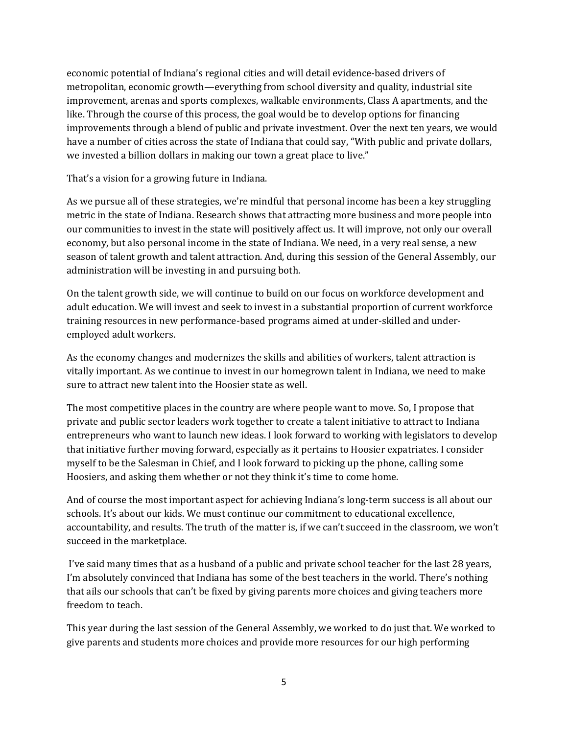economic potential of Indiana's regional cities and will detail evidence-based drivers of metropolitan, economic growth—everything from school diversity and quality, industrial site improvement, arenas and sports complexes, walkable environments, Class A apartments, and the like. Through the course of this process, the goal would be to develop options for financing improvements through a blend of public and private investment. Over the next ten years, we would have a number of cities across the state of Indiana that could say, "With public and private dollars, we invested a billion dollars in making our town a great place to live."

That's a vision for a growing future in Indiana.

As we pursue all of these strategies, we're mindful that personal income has been a key struggling metric in the state of Indiana. Research shows that attracting more business and more people into our communities to invest in the state will positively affect us. It will improve, not only our overall economy, but also personal income in the state of Indiana. We need, in a very real sense, a new season of talent growth and talent attraction. And, during this session of the General Assembly, our administration will be investing in and pursuing both.

On the talent growth side, we will continue to build on our focus on workforce development and adult education. We will invest and seek to invest in a substantial proportion of current workforce training resources in new performance-based programs aimed at under-skilled and underemployed adult workers.

As the economy changes and modernizes the skills and abilities of workers, talent attraction is vitally important. As we continue to invest in our homegrown talent in Indiana, we need to make sure to attract new talent into the Hoosier state as well.

The most competitive places in the country are where people want to move. So, I propose that private and public sector leaders work together to create a talent initiative to attract to Indiana entrepreneurs who want to launch new ideas. I look forward to working with legislators to develop that initiative further moving forward, especially as it pertains to Hoosier expatriates. I consider myself to be the Salesman in Chief, and I look forward to picking up the phone, calling some Hoosiers, and asking them whether or not they think it's time to come home.

And of course the most important aspect for achieving Indiana's long-term success is all about our schools. It's about our kids. We must continue our commitment to educational excellence, accountability, and results. The truth of the matter is, if we can't succeed in the classroom, we won't succeed in the marketplace.

I've said many times that as a husband of a public and private school teacher for the last 28 years, I'm absolutely convinced that Indiana has some of the best teachers in the world. There's nothing that ails our schools that can't be fixed by giving parents more choices and giving teachers more freedom to teach.

This year during the last session of the General Assembly, we worked to do just that. We worked to give parents and students more choices and provide more resources for our high performing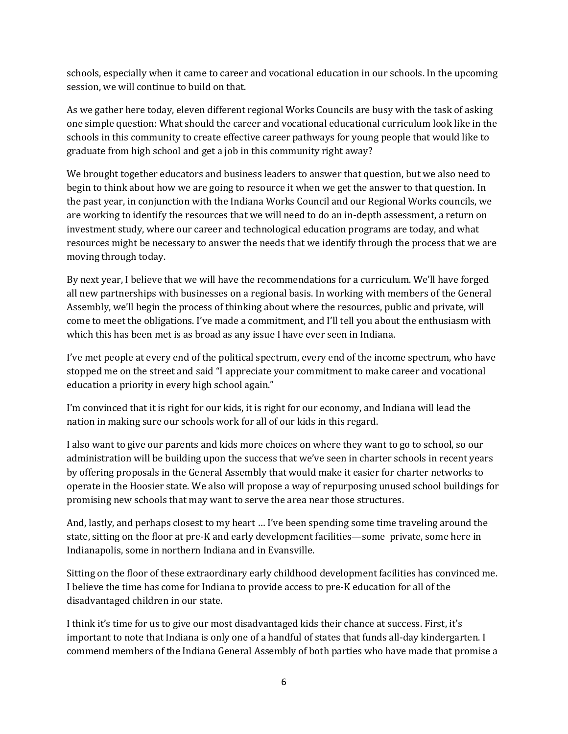schools, especially when it came to career and vocational education in our schools. In the upcoming session, we will continue to build on that.

As we gather here today, eleven different regional Works Councils are busy with the task of asking one simple question: What should the career and vocational educational curriculum look like in the schools in this community to create effective career pathways for young people that would like to graduate from high school and get a job in this community right away?

We brought together educators and business leaders to answer that question, but we also need to begin to think about how we are going to resource it when we get the answer to that question. In the past year, in conjunction with the Indiana Works Council and our Regional Works councils, we are working to identify the resources that we will need to do an in-depth assessment, a return on investment study, where our career and technological education programs are today, and what resources might be necessary to answer the needs that we identify through the process that we are moving through today.

By next year, I believe that we will have the recommendations for a curriculum. We'll have forged all new partnerships with businesses on a regional basis. In working with members of the General Assembly, we'll begin the process of thinking about where the resources, public and private, will come to meet the obligations. I've made a commitment, and I'll tell you about the enthusiasm with which this has been met is as broad as any issue I have ever seen in Indiana.

I've met people at every end of the political spectrum, every end of the income spectrum, who have stopped me on the street and said "I appreciate your commitment to make career and vocational education a priority in every high school again."

I'm convinced that it is right for our kids, it is right for our economy, and Indiana will lead the nation in making sure our schools work for all of our kids in this regard.

I also want to give our parents and kids more choices on where they want to go to school, so our administration will be building upon the success that we've seen in charter schools in recent years by offering proposals in the General Assembly that would make it easier for charter networks to operate in the Hoosier state. We also will propose a way of repurposing unused school buildings for promising new schools that may want to serve the area near those structures.

And, lastly, and perhaps closest to my heart … I've been spending some time traveling around the state, sitting on the floor at pre-K and early development facilities—some private, some here in Indianapolis, some in northern Indiana and in Evansville.

Sitting on the floor of these extraordinary early childhood development facilities has convinced me. I believe the time has come for Indiana to provide access to pre-K education for all of the disadvantaged children in our state.

I think it's time for us to give our most disadvantaged kids their chance at success. First, it's important to note that Indiana is only one of a handful of states that funds all-day kindergarten. I commend members of the Indiana General Assembly of both parties who have made that promise a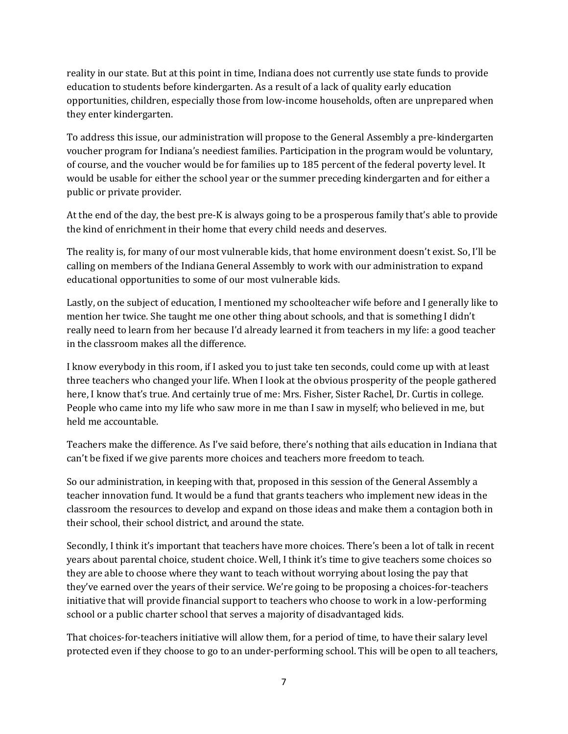reality in our state. But at this point in time, Indiana does not currently use state funds to provide education to students before kindergarten. As a result of a lack of quality early education opportunities, children, especially those from low-income households, often are unprepared when they enter kindergarten.

To address this issue, our administration will propose to the General Assembly a pre-kindergarten voucher program for Indiana's neediest families. Participation in the program would be voluntary, of course, and the voucher would be for families up to 185 percent of the federal poverty level. It would be usable for either the school year or the summer preceding kindergarten and for either a public or private provider.

At the end of the day, the best pre-K is always going to be a prosperous family that's able to provide the kind of enrichment in their home that every child needs and deserves.

The reality is, for many of our most vulnerable kids, that home environment doesn't exist. So, I'll be calling on members of the Indiana General Assembly to work with our administration to expand educational opportunities to some of our most vulnerable kids.

Lastly, on the subject of education, I mentioned my schoolteacher wife before and I generally like to mention her twice. She taught me one other thing about schools, and that is something I didn't really need to learn from her because I'd already learned it from teachers in my life: a good teacher in the classroom makes all the difference.

I know everybody in this room, if I asked you to just take ten seconds, could come up with at least three teachers who changed your life. When I look at the obvious prosperity of the people gathered here, I know that's true. And certainly true of me: Mrs. Fisher, Sister Rachel, Dr. Curtis in college. People who came into my life who saw more in me than I saw in myself; who believed in me, but held me accountable.

Teachers make the difference. As I've said before, there's nothing that ails education in Indiana that can't be fixed if we give parents more choices and teachers more freedom to teach.

So our administration, in keeping with that, proposed in this session of the General Assembly a teacher innovation fund. It would be a fund that grants teachers who implement new ideas in the classroom the resources to develop and expand on those ideas and make them a contagion both in their school, their school district, and around the state.

Secondly, I think it's important that teachers have more choices. There's been a lot of talk in recent years about parental choice, student choice. Well, I think it's time to give teachers some choices so they are able to choose where they want to teach without worrying about losing the pay that they've earned over the years of their service. We're going to be proposing a choices-for-teachers initiative that will provide financial support to teachers who choose to work in a low-performing school or a public charter school that serves a majority of disadvantaged kids.

That choices-for-teachers initiative will allow them, for a period of time, to have their salary level protected even if they choose to go to an under-performing school. This will be open to all teachers,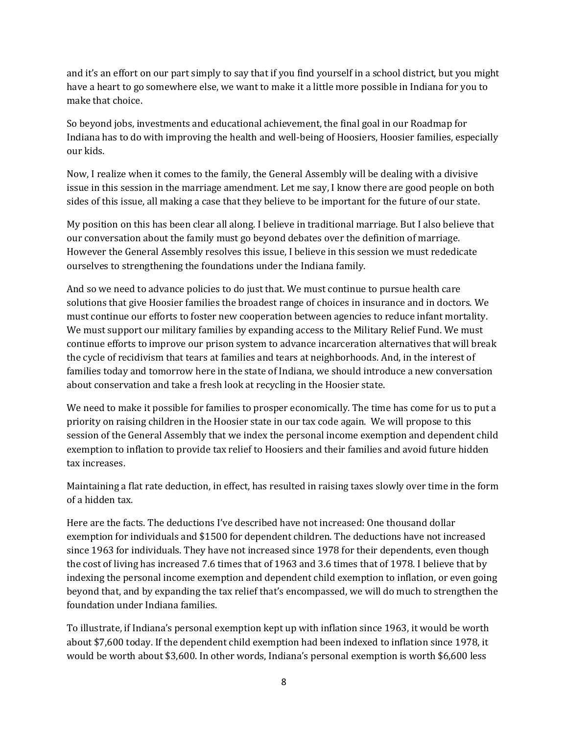and it's an effort on our part simply to say that if you find yourself in a school district, but you might have a heart to go somewhere else, we want to make it a little more possible in Indiana for you to make that choice.

So beyond jobs, investments and educational achievement, the final goal in our Roadmap for Indiana has to do with improving the health and well-being of Hoosiers, Hoosier families, especially our kids.

Now, I realize when it comes to the family, the General Assembly will be dealing with a divisive issue in this session in the marriage amendment. Let me say, I know there are good people on both sides of this issue, all making a case that they believe to be important for the future of our state.

My position on this has been clear all along. I believe in traditional marriage. But I also believe that our conversation about the family must go beyond debates over the definition of marriage. However the General Assembly resolves this issue, I believe in this session we must rededicate ourselves to strengthening the foundations under the Indiana family.

And so we need to advance policies to do just that. We must continue to pursue health care solutions that give Hoosier families the broadest range of choices in insurance and in doctors. We must continue our efforts to foster new cooperation between agencies to reduce infant mortality. We must support our military families by expanding access to the Military Relief Fund. We must continue efforts to improve our prison system to advance incarceration alternatives that will break the cycle of recidivism that tears at families and tears at neighborhoods. And, in the interest of families today and tomorrow here in the state of Indiana, we should introduce a new conversation about conservation and take a fresh look at recycling in the Hoosier state.

We need to make it possible for families to prosper economically. The time has come for us to put a priority on raising children in the Hoosier state in our tax code again. We will propose to this session of the General Assembly that we index the personal income exemption and dependent child exemption to inflation to provide tax relief to Hoosiers and their families and avoid future hidden tax increases.

Maintaining a flat rate deduction, in effect, has resulted in raising taxes slowly over time in the form of a hidden tax.

Here are the facts. The deductions I've described have not increased: One thousand dollar exemption for individuals and \$1500 for dependent children. The deductions have not increased since 1963 for individuals. They have not increased since 1978 for their dependents, even though the cost of living has increased 7.6 times that of 1963 and 3.6 times that of 1978. I believe that by indexing the personal income exemption and dependent child exemption to inflation, or even going beyond that, and by expanding the tax relief that's encompassed, we will do much to strengthen the foundation under Indiana families.

To illustrate, if Indiana's personal exemption kept up with inflation since 1963, it would be worth about \$7,600 today. If the dependent child exemption had been indexed to inflation since 1978, it would be worth about \$3,600. In other words, Indiana's personal exemption is worth \$6,600 less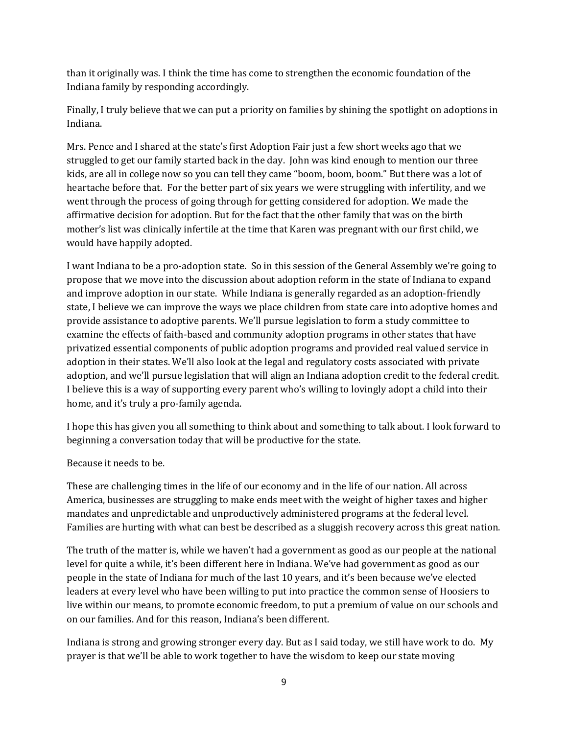than it originally was. I think the time has come to strengthen the economic foundation of the Indiana family by responding accordingly.

Finally, I truly believe that we can put a priority on families by shining the spotlight on adoptions in Indiana.

Mrs. Pence and I shared at the state's first Adoption Fair just a few short weeks ago that we struggled to get our family started back in the day. John was kind enough to mention our three kids, are all in college now so you can tell they came "boom, boom, boom." But there was a lot of heartache before that. For the better part of six years we were struggling with infertility, and we went through the process of going through for getting considered for adoption. We made the affirmative decision for adoption. But for the fact that the other family that was on the birth mother's list was clinically infertile at the time that Karen was pregnant with our first child, we would have happily adopted.

I want Indiana to be a pro-adoption state. So in this session of the General Assembly we're going to propose that we move into the discussion about adoption reform in the state of Indiana to expand and improve adoption in our state. While Indiana is generally regarded as an adoption-friendly state, I believe we can improve the ways we place children from state care into adoptive homes and provide assistance to adoptive parents. We'll pursue legislation to form a study committee to examine the effects of faith-based and community adoption programs in other states that have privatized essential components of public adoption programs and provided real valued service in adoption in their states. We'll also look at the legal and regulatory costs associated with private adoption, and we'll pursue legislation that will align an Indiana adoption credit to the federal credit. I believe this is a way of supporting every parent who's willing to lovingly adopt a child into their home, and it's truly a pro-family agenda.

I hope this has given you all something to think about and something to talk about. I look forward to beginning a conversation today that will be productive for the state.

## Because it needs to be.

These are challenging times in the life of our economy and in the life of our nation. All across America, businesses are struggling to make ends meet with the weight of higher taxes and higher mandates and unpredictable and unproductively administered programs at the federal level. Families are hurting with what can best be described as a sluggish recovery across this great nation.

The truth of the matter is, while we haven't had a government as good as our people at the national level for quite a while, it's been different here in Indiana. We've had government as good as our people in the state of Indiana for much of the last 10 years, and it's been because we've elected leaders at every level who have been willing to put into practice the common sense of Hoosiers to live within our means, to promote economic freedom, to put a premium of value on our schools and on our families. And for this reason, Indiana's been different.

Indiana is strong and growing stronger every day. But as I said today, we still have work to do. My prayer is that we'll be able to work together to have the wisdom to keep our state moving